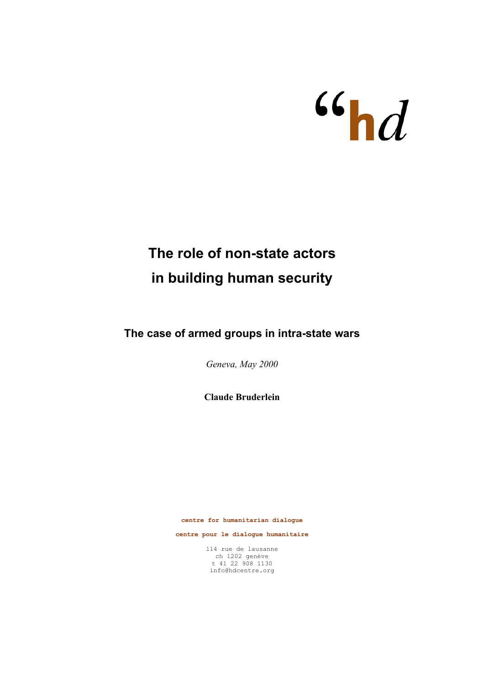

# **The role of non-state actors in building human security**

**The case of armed groups in intra-state wars**

*Geneva, May 2000*

**Claude Bruderlein** 

**centre for humanitarian dialogue** 

**centre pour le dialogue humanitaire**

114 rue de lausanne ch 1202 genève t 41 22 908 1130 info@hdcentre.org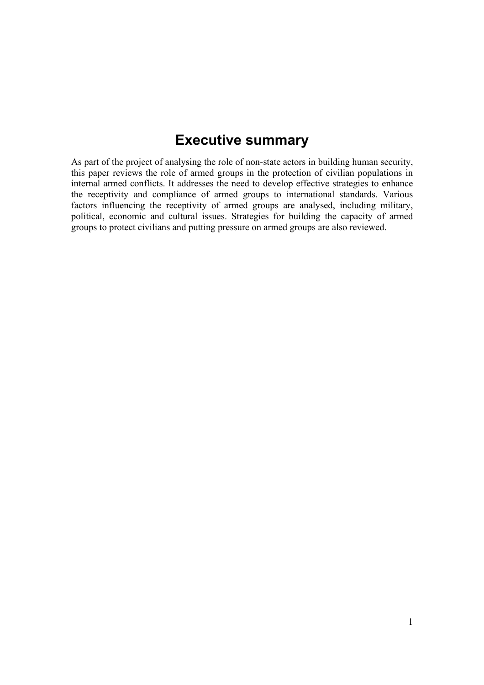# **Executive summary**

As part of the project of analysing the role of non-state actors in building human security, this paper reviews the role of armed groups in the protection of civilian populations in internal armed conflicts. It addresses the need to develop effective strategies to enhance the receptivity and compliance of armed groups to international standards. Various factors influencing the receptivity of armed groups are analysed, including military, political, economic and cultural issues. Strategies for building the capacity of armed groups to protect civilians and putting pressure on armed groups are also reviewed.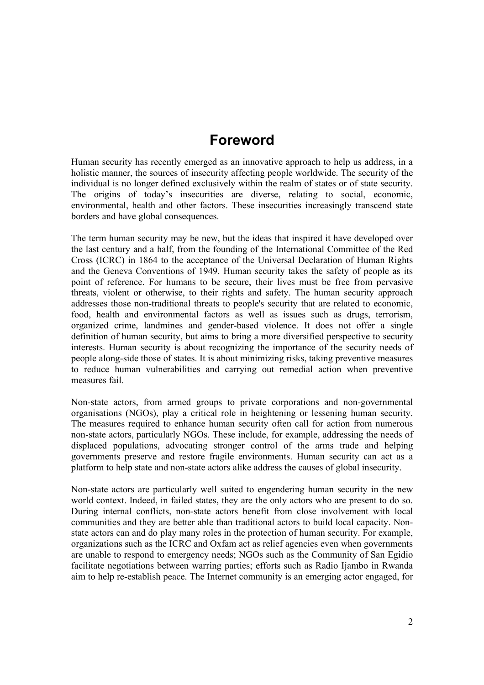## **Foreword**

Human security has recently emerged as an innovative approach to help us address, in a holistic manner, the sources of insecurity affecting people worldwide. The security of the individual is no longer defined exclusively within the realm of states or of state security. The origins of today's insecurities are diverse, relating to social, economic, environmental, health and other factors. These insecurities increasingly transcend state borders and have global consequences.

The term human security may be new, but the ideas that inspired it have developed over the last century and a half, from the founding of the International Committee of the Red Cross (ICRC) in 1864 to the acceptance of the Universal Declaration of Human Rights and the Geneva Conventions of 1949. Human security takes the safety of people as its point of reference. For humans to be secure, their lives must be free from pervasive threats, violent or otherwise, to their rights and safety. The human security approach addresses those non-traditional threats to people's security that are related to economic, food, health and environmental factors as well as issues such as drugs, terrorism, organized crime, landmines and gender-based violence. It does not offer a single definition of human security, but aims to bring a more diversified perspective to security interests. Human security is about recognizing the importance of the security needs of people along-side those of states. It is about minimizing risks, taking preventive measures to reduce human vulnerabilities and carrying out remedial action when preventive measures fail.

Non-state actors, from armed groups to private corporations and non-governmental organisations (NGOs), play a critical role in heightening or lessening human security. The measures required to enhance human security often call for action from numerous non-state actors, particularly NGOs. These include, for example, addressing the needs of displaced populations, advocating stronger control of the arms trade and helping governments preserve and restore fragile environments. Human security can act as a platform to help state and non-state actors alike address the causes of global insecurity.

Non-state actors are particularly well suited to engendering human security in the new world context. Indeed, in failed states, they are the only actors who are present to do so. During internal conflicts, non-state actors benefit from close involvement with local communities and they are better able than traditional actors to build local capacity. Nonstate actors can and do play many roles in the protection of human security. For example, organizations such as the ICRC and Oxfam act as relief agencies even when governments are unable to respond to emergency needs; NGOs such as the Community of San Egidio facilitate negotiations between warring parties; efforts such as Radio Ijambo in Rwanda aim to help re-establish peace. The Internet community is an emerging actor engaged, for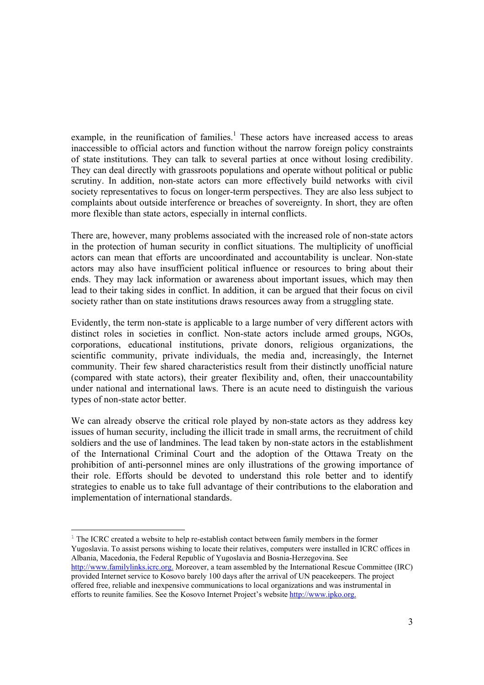example, in the reunification of families.<sup>1</sup> These actors have increased access to areas inaccessible to official actors and function without the narrow foreign policy constraints of state institutions. They can talk to several parties at once without losing credibility. They can deal directly with grassroots populations and operate without political or public scrutiny. In addition, non-state actors can more effectively build networks with civil society representatives to focus on longer-term perspectives. They are also less subject to complaints about outside interference or breaches of sovereignty. In short, they are often more flexible than state actors, especially in internal conflicts.

There are, however, many problems associated with the increased role of non-state actors in the protection of human security in conflict situations. The multiplicity of unofficial actors can mean that efforts are uncoordinated and accountability is unclear. Non-state actors may also have insufficient political influence or resources to bring about their ends. They may lack information or awareness about important issues, which may then lead to their taking sides in conflict. In addition, it can be argued that their focus on civil society rather than on state institutions draws resources away from a struggling state.

Evidently, the term non-state is applicable to a large number of very different actors with distinct roles in societies in conflict. Non-state actors include armed groups, NGOs, corporations, educational institutions, private donors, religious organizations, the scientific community, private individuals, the media and, increasingly, the Internet community. Their few shared characteristics result from their distinctly unofficial nature (compared with state actors), their greater flexibility and, often, their unaccountability under national and international laws. There is an acute need to distinguish the various types of non-state actor better.

We can already observe the critical role played by non-state actors as they address key issues of human security, including the illicit trade in small arms, the recruitment of child soldiers and the use of landmines. The lead taken by non-state actors in the establishment of the International Criminal Court and the adoption of the Ottawa Treaty on the prohibition of anti-personnel mines are only illustrations of the growing importance of their role. Efforts should be devoted to understand this role better and to identify strategies to enable us to take full advantage of their contributions to the elaboration and implementation of international standards.

<sup>1</sup> The ICRC created a website to help re-establish contact between family members in the former Yugoslavia. To assist persons wishing to locate their relatives, computers were installed in ICRC offices in Albania, Macedonia, the Federal Republic of Yugoslavia and Bosnia-Herzegovina. See http://www.familylinks.icrc.org. Moreover, a team assembled by the International Rescue Committee (IRC) provided Internet service to Kosovo barely 100 days after the arrival of UN peacekeepers. The project offered free, reliable and inexpensive communications to local organizations and was instrumental in efforts to reunite families. See the Kosovo Internet Project's website http://www.ipko.org.

 $\overline{a}$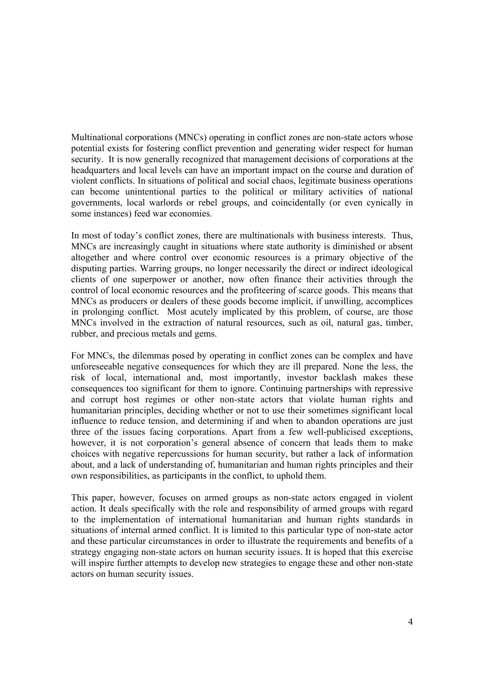Multinational corporations (MNCs) operating in conflict zones are non-state actors whose potential exists for fostering conflict prevention and generating wider respect for human security. It is now generally recognized that management decisions of corporations at the headquarters and local levels can have an important impact on the course and duration of violent conflicts. In situations of political and social chaos, legitimate business operations can become unintentional parties to the political or military activities of national governments, local warlords or rebel groups, and coincidentally (or even cynically in some instances) feed war economies.

In most of today's conflict zones, there are multinationals with business interests. Thus, MNCs are increasingly caught in situations where state authority is diminished or absent altogether and where control over economic resources is a primary objective of the disputing parties. Warring groups, no longer necessarily the direct or indirect ideological clients of one superpower or another, now often finance their activities through the control of local economic resources and the profiteering of scarce goods. This means that MNCs as producers or dealers of these goods become implicit, if unwilling, accomplices in prolonging conflict. Most acutely implicated by this problem, of course, are those MNCs involved in the extraction of natural resources, such as oil, natural gas, timber, rubber, and precious metals and gems.

For MNCs, the dilemmas posed by operating in conflict zones can be complex and have unforeseeable negative consequences for which they are ill prepared. None the less, the risk of local, international and, most importantly, investor backlash makes these consequences too significant for them to ignore. Continuing partnerships with repressive and corrupt host regimes or other non-state actors that violate human rights and humanitarian principles, deciding whether or not to use their sometimes significant local influence to reduce tension, and determining if and when to abandon operations are just three of the issues facing corporations. Apart from a few well-publicised exceptions, however, it is not corporation's general absence of concern that leads them to make choices with negative repercussions for human security, but rather a lack of information about, and a lack of understanding of, humanitarian and human rights principles and their own responsibilities, as participants in the conflict, to uphold them.

This paper, however, focuses on armed groups as non-state actors engaged in violent action. It deals specifically with the role and responsibility of armed groups with regard to the implementation of international humanitarian and human rights standards in situations of internal armed conflict. It is limited to this particular type of non-state actor and these particular circumstances in order to illustrate the requirements and benefits of a strategy engaging non-state actors on human security issues. It is hoped that this exercise will inspire further attempts to develop new strategies to engage these and other non-state actors on human security issues.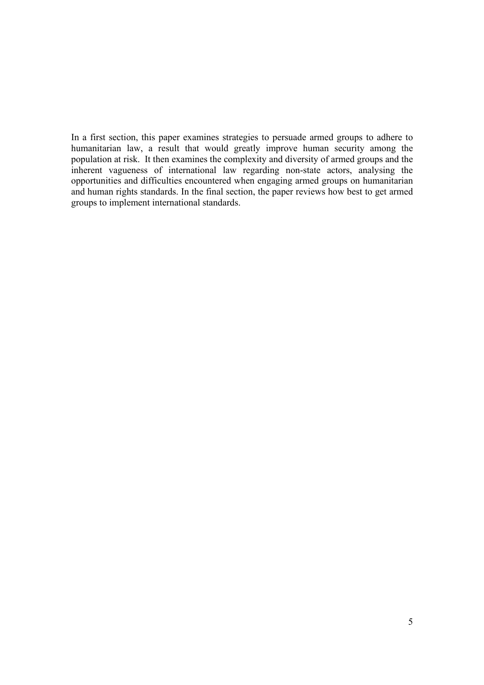In a first section, this paper examines strategies to persuade armed groups to adhere to humanitarian law, a result that would greatly improve human security among the population at risk. It then examines the complexity and diversity of armed groups and the inherent vagueness of international law regarding non-state actors, analysing the opportunities and difficulties encountered when engaging armed groups on humanitarian and human rights standards. In the final section, the paper reviews how best to get armed groups to implement international standards.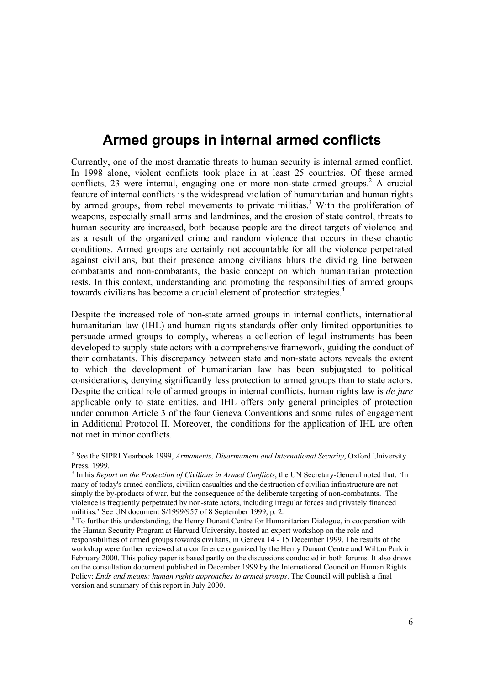## **Armed groups in internal armed conflicts**

Currently, one of the most dramatic threats to human security is internal armed conflict. In 1998 alone, violent conflicts took place in at least 25 countries. Of these armed conflicts, 23 were internal, engaging one or more non-state armed groups.<sup>2</sup> A crucial feature of internal conflicts is the widespread violation of humanitarian and human rights by armed groups, from rebel movements to private militias.<sup>3</sup> With the proliferation of weapons, especially small arms and landmines, and the erosion of state control, threats to human security are increased, both because people are the direct targets of violence and as a result of the organized crime and random violence that occurs in these chaotic conditions. Armed groups are certainly not accountable for all the violence perpetrated against civilians, but their presence among civilians blurs the dividing line between combatants and non-combatants, the basic concept on which humanitarian protection rests. In this context, understanding and promoting the responsibilities of armed groups towards civilians has become a crucial element of protection strategies.<sup>4</sup>

Despite the increased role of non-state armed groups in internal conflicts, international humanitarian law (IHL) and human rights standards offer only limited opportunities to persuade armed groups to comply, whereas a collection of legal instruments has been developed to supply state actors with a comprehensive framework, guiding the conduct of their combatants. This discrepancy between state and non-state actors reveals the extent to which the development of humanitarian law has been subjugated to political considerations, denying significantly less protection to armed groups than to state actors. Despite the critical role of armed groups in internal conflicts, human rights law is *de jure* applicable only to state entities, and IHL offers only general principles of protection under common Article 3 of the four Geneva Conventions and some rules of engagement in Additional Protocol II. Moreover, the conditions for the application of IHL are often not met in minor conflicts.

<sup>2</sup> See the SIPRI Yearbook 1999, *Armaments, Disarmament and International Security*, Oxford University Press, 1999.

<sup>&</sup>lt;sup>3</sup> In his *Report on the Protection of Civilians in Armed Conflicts*, the UN Secretary-General noted that: 'In many of today's armed conflicts, civilian casualties and the destruction of civilian infrastructure are not simply the by-products of war, but the consequence of the deliberate targeting of non-combatants. The violence is frequently perpetrated by non-state actors, including irregular forces and privately financed militias.' See UN document S/1999/957 of 8 September 1999, p. 2.

<sup>4</sup> To further this understanding, the Henry Dunant Centre for Humanitarian Dialogue, in cooperation with the Human Security Program at Harvard University, hosted an expert workshop on the role and responsibilities of armed groups towards civilians, in Geneva 14 - 15 December 1999. The results of the workshop were further reviewed at a conference organized by the Henry Dunant Centre and Wilton Park in February 2000. This policy paper is based partly on the discussions conducted in both forums. It also draws on the consultation document published in December 1999 by the International Council on Human Rights Policy: *Ends and means: human rights approaches to armed groups*. The Council will publish a final version and summary of this report in July 2000.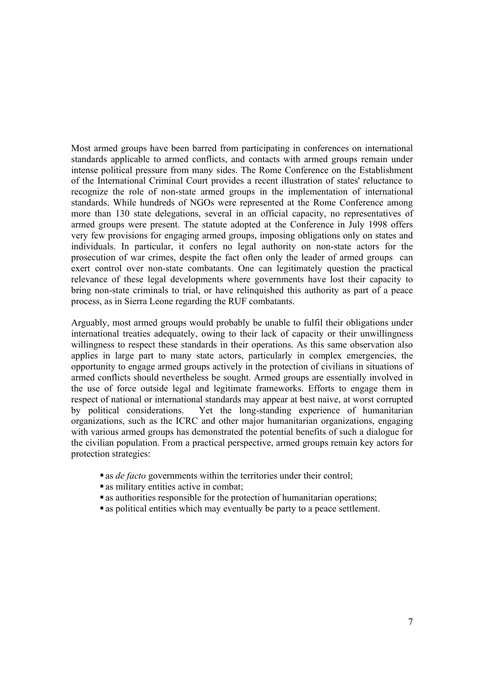Most armed groups have been barred from participating in conferences on international standards applicable to armed conflicts, and contacts with armed groups remain under intense political pressure from many sides. The Rome Conference on the Establishment of the International Criminal Court provides a recent illustration of states' reluctance to recognize the role of non-state armed groups in the implementation of international standards. While hundreds of NGOs were represented at the Rome Conference among more than 130 state delegations, several in an official capacity, no representatives of armed groups were present. The statute adopted at the Conference in July 1998 offers very few provisions for engaging armed groups, imposing obligations only on states and individuals. In particular, it confers no legal authority on non-state actors for the prosecution of war crimes, despite the fact often only the leader of armed groups can exert control over non-state combatants. One can legitimately question the practical relevance of these legal developments where governments have lost their capacity to bring non-state criminals to trial, or have relinquished this authority as part of a peace process, as in Sierra Leone regarding the RUF combatants.

Arguably, most armed groups would probably be unable to fulfil their obligations under international treaties adequately, owing to their lack of capacity or their unwillingness willingness to respect these standards in their operations. As this same observation also applies in large part to many state actors, particularly in complex emergencies, the opportunity to engage armed groups actively in the protection of civilians in situations of armed conflicts should nevertheless be sought. Armed groups are essentially involved in the use of force outside legal and legitimate frameworks. Efforts to engage them in respect of national or international standards may appear at best naive, at worst corrupted by political considerations. Yet the long-standing experience of humanitarian organizations, such as the ICRC and other major humanitarian organizations, engaging with various armed groups has demonstrated the potential benefits of such a dialogue for the civilian population. From a practical perspective, armed groups remain key actors for protection strategies:

- as *de facto* governments within the territories under their control;
- as military entities active in combat;
- as authorities responsible for the protection of humanitarian operations;
- as political entities which may eventually be party to a peace settlement.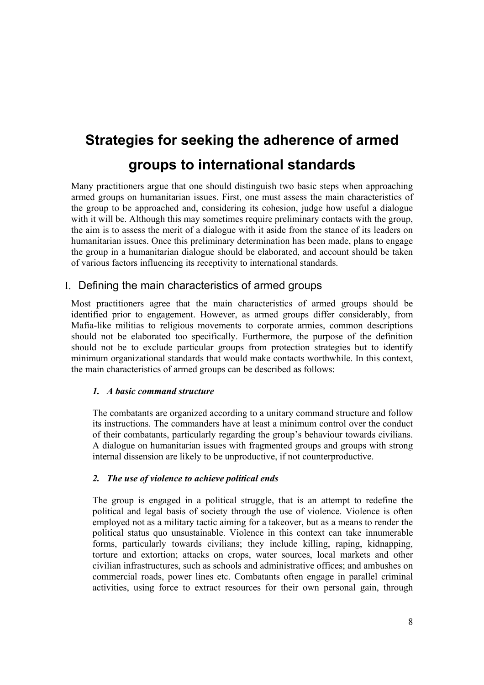# **Strategies for seeking the adherence of armed groups to international standards**

Many practitioners argue that one should distinguish two basic steps when approaching armed groups on humanitarian issues. First, one must assess the main characteristics of the group to be approached and, considering its cohesion, judge how useful a dialogue with it will be. Although this may sometimes require preliminary contacts with the group, the aim is to assess the merit of a dialogue with it aside from the stance of its leaders on humanitarian issues. Once this preliminary determination has been made, plans to engage the group in a humanitarian dialogue should be elaborated, and account should be taken of various factors influencing its receptivity to international standards.

## I. Defining the main characteristics of armed groups

Most practitioners agree that the main characteristics of armed groups should be identified prior to engagement. However, as armed groups differ considerably, from Mafia-like militias to religious movements to corporate armies, common descriptions should not be elaborated too specifically. Furthermore, the purpose of the definition should not be to exclude particular groups from protection strategies but to identify minimum organizational standards that would make contacts worthwhile. In this context, the main characteristics of armed groups can be described as follows:

## *1. A basic command structure*

The combatants are organized according to a unitary command structure and follow its instructions. The commanders have at least a minimum control over the conduct of their combatants, particularly regarding the group's behaviour towards civilians. A dialogue on humanitarian issues with fragmented groups and groups with strong internal dissension are likely to be unproductive, if not counterproductive.

## *2. The use of violence to achieve political ends*

The group is engaged in a political struggle, that is an attempt to redefine the political and legal basis of society through the use of violence. Violence is often employed not as a military tactic aiming for a takeover, but as a means to render the political status quo unsustainable. Violence in this context can take innumerable forms, particularly towards civilians; they include killing, raping, kidnapping, torture and extortion; attacks on crops, water sources, local markets and other civilian infrastructures, such as schools and administrative offices; and ambushes on commercial roads, power lines etc. Combatants often engage in parallel criminal activities, using force to extract resources for their own personal gain, through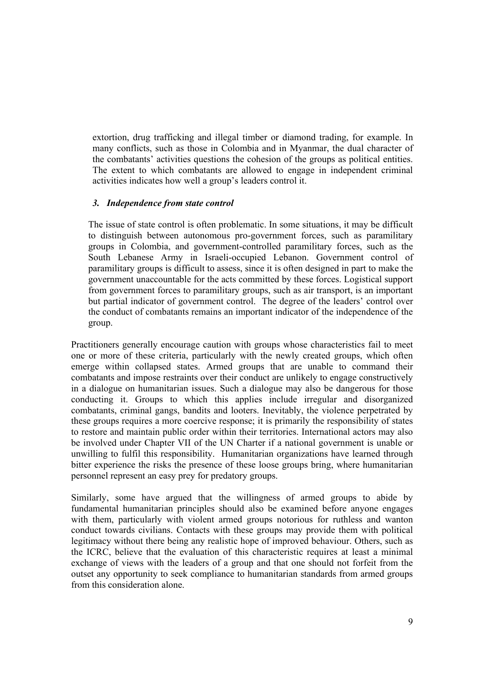extortion, drug trafficking and illegal timber or diamond trading, for example. In many conflicts, such as those in Colombia and in Myanmar, the dual character of the combatants' activities questions the cohesion of the groups as political entities. The extent to which combatants are allowed to engage in independent criminal activities indicates how well a group's leaders control it.

### *3. Independence from state control*

The issue of state control is often problematic. In some situations, it may be difficult to distinguish between autonomous pro-government forces, such as paramilitary groups in Colombia, and government-controlled paramilitary forces, such as the South Lebanese Army in Israeli-occupied Lebanon. Government control of paramilitary groups is difficult to assess, since it is often designed in part to make the government unaccountable for the acts committed by these forces. Logistical support from government forces to paramilitary groups, such as air transport, is an important but partial indicator of government control. The degree of the leaders' control over the conduct of combatants remains an important indicator of the independence of the group.

Practitioners generally encourage caution with groups whose characteristics fail to meet one or more of these criteria, particularly with the newly created groups, which often emerge within collapsed states. Armed groups that are unable to command their combatants and impose restraints over their conduct are unlikely to engage constructively in a dialogue on humanitarian issues. Such a dialogue may also be dangerous for those conducting it. Groups to which this applies include irregular and disorganized combatants, criminal gangs, bandits and looters. Inevitably, the violence perpetrated by these groups requires a more coercive response; it is primarily the responsibility of states to restore and maintain public order within their territories. International actors may also be involved under Chapter VII of the UN Charter if a national government is unable or unwilling to fulfil this responsibility. Humanitarian organizations have learned through bitter experience the risks the presence of these loose groups bring, where humanitarian personnel represent an easy prey for predatory groups.

Similarly, some have argued that the willingness of armed groups to abide by fundamental humanitarian principles should also be examined before anyone engages with them, particularly with violent armed groups notorious for ruthless and wanton conduct towards civilians. Contacts with these groups may provide them with political legitimacy without there being any realistic hope of improved behaviour. Others, such as the ICRC, believe that the evaluation of this characteristic requires at least a minimal exchange of views with the leaders of a group and that one should not forfeit from the outset any opportunity to seek compliance to humanitarian standards from armed groups from this consideration alone.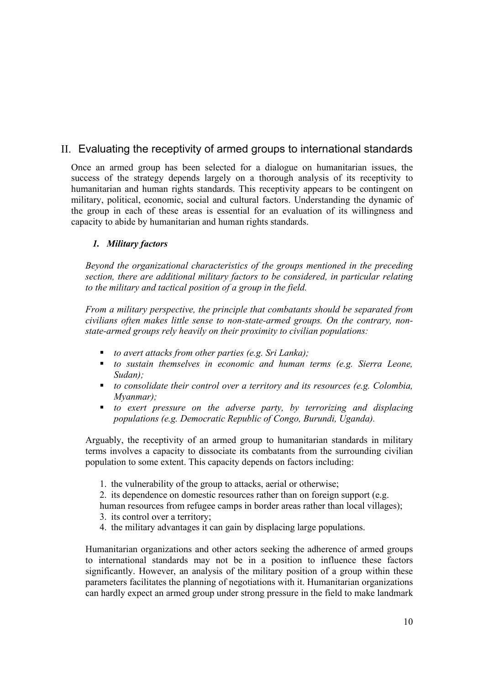## II. Evaluating the receptivity of armed groups to international standards

Once an armed group has been selected for a dialogue on humanitarian issues, the success of the strategy depends largely on a thorough analysis of its receptivity to humanitarian and human rights standards. This receptivity appears to be contingent on military, political, economic, social and cultural factors. Understanding the dynamic of the group in each of these areas is essential for an evaluation of its willingness and capacity to abide by humanitarian and human rights standards.

## *1. Military factors*

*Beyond the organizational characteristics of the groups mentioned in the preceding section, there are additional military factors to be considered, in particular relating to the military and tactical position of a group in the field.* 

*From a military perspective, the principle that combatants should be separated from civilians often makes little sense to non-state-armed groups. On the contrary, nonstate-armed groups rely heavily on their proximity to civilian populations:* 

- *to avert attacks from other parties (e.g. Sri Lanka);*
- *to sustain themselves in economic and human terms (e.g. Sierra Leone, Sudan);*
- *to consolidate their control over a territory and its resources (e.g. Colombia, Myanmar);*
- *to exert pressure on the adverse party, by terrorizing and displacing populations (e.g. Democratic Republic of Congo, Burundi, Uganda).*

Arguably, the receptivity of an armed group to humanitarian standards in military terms involves a capacity to dissociate its combatants from the surrounding civilian population to some extent. This capacity depends on factors including:

1. the vulnerability of the group to attacks, aerial or otherwise;

2. its dependence on domestic resources rather than on foreign support (e.g.

human resources from refugee camps in border areas rather than local villages);

- 3. its control over a territory;
- 4. the military advantages it can gain by displacing large populations.

Humanitarian organizations and other actors seeking the adherence of armed groups to international standards may not be in a position to influence these factors significantly. However, an analysis of the military position of a group within these parameters facilitates the planning of negotiations with it. Humanitarian organizations can hardly expect an armed group under strong pressure in the field to make landmark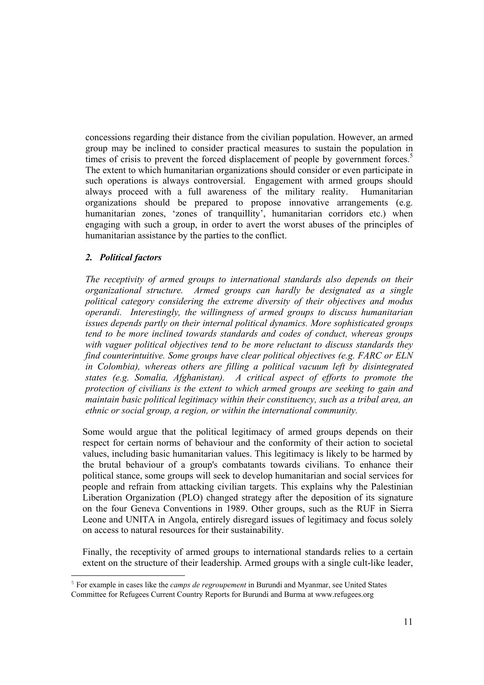concessions regarding their distance from the civilian population. However, an armed group may be inclined to consider practical measures to sustain the population in times of crisis to prevent the forced displacement of people by government forces.<sup>5</sup> The extent to which humanitarian organizations should consider or even participate in such operations is always controversial. Engagement with armed groups should always proceed with a full awareness of the military reality. Humanitarian organizations should be prepared to propose innovative arrangements (e.g. humanitarian zones, 'zones of tranquillity', humanitarian corridors etc.) when engaging with such a group, in order to avert the worst abuses of the principles of humanitarian assistance by the parties to the conflict.

### *2. Political factors*

*The receptivity of armed groups to international standards also depends on their organizational structure. Armed groups can hardly be designated as a single political category considering the extreme diversity of their objectives and modus operandi. Interestingly, the willingness of armed groups to discuss humanitarian issues depends partly on their internal political dynamics. More sophisticated groups tend to be more inclined towards standards and codes of conduct, whereas groups with vaguer political objectives tend to be more reluctant to discuss standards they find counterintuitive. Some groups have clear political objectives (e.g. FARC or ELN in Colombia), whereas others are filling a political vacuum left by disintegrated states (e.g. Somalia, Afghanistan). A critical aspect of efforts to promote the protection of civilians is the extent to which armed groups are seeking to gain and maintain basic political legitimacy within their constituency, such as a tribal area, an ethnic or social group, a region, or within the international community.* 

Some would argue that the political legitimacy of armed groups depends on their respect for certain norms of behaviour and the conformity of their action to societal values, including basic humanitarian values. This legitimacy is likely to be harmed by the brutal behaviour of a group's combatants towards civilians. To enhance their political stance, some groups will seek to develop humanitarian and social services for people and refrain from attacking civilian targets. This explains why the Palestinian Liberation Organization (PLO) changed strategy after the deposition of its signature on the four Geneva Conventions in 1989. Other groups, such as the RUF in Sierra Leone and UNITA in Angola, entirely disregard issues of legitimacy and focus solely on access to natural resources for their sustainability.

Finally, the receptivity of armed groups to international standards relies to a certain extent on the structure of their leadership. Armed groups with a single cult-like leader,

<sup>5</sup> For example in cases like the *camps de regroupement* in Burundi and Myanmar, see United States Committee for Refugees Current Country Reports for Burundi and Burma at www.refugees.org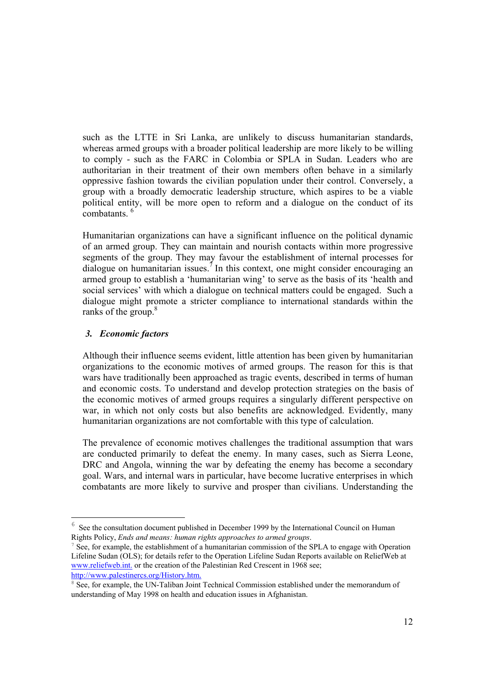such as the LTTE in Sri Lanka, are unlikely to discuss humanitarian standards, whereas armed groups with a broader political leadership are more likely to be willing to comply - such as the FARC in Colombia or SPLA in Sudan. Leaders who are authoritarian in their treatment of their own members often behave in a similarly oppressive fashion towards the civilian population under their control. Conversely, a group with a broadly democratic leadership structure, which aspires to be a viable political entity, will be more open to reform and a dialogue on the conduct of its combatants<sup>6</sup>

Humanitarian organizations can have a significant influence on the political dynamic of an armed group. They can maintain and nourish contacts within more progressive segments of the group. They may favour the establishment of internal processes for dialogue on humanitarian issues.<sup>7</sup> In this context, one might consider encouraging an armed group to establish a 'humanitarian wing' to serve as the basis of its 'health and social services' with which a dialogue on technical matters could be engaged. Such a dialogue might promote a stricter compliance to international standards within the ranks of the group.<sup>8</sup>

### *3. Economic factors*

Although their influence seems evident, little attention has been given by humanitarian organizations to the economic motives of armed groups. The reason for this is that wars have traditionally been approached as tragic events, described in terms of human and economic costs. To understand and develop protection strategies on the basis of the economic motives of armed groups requires a singularly different perspective on war, in which not only costs but also benefits are acknowledged. Evidently, many humanitarian organizations are not comfortable with this type of calculation.

The prevalence of economic motives challenges the traditional assumption that wars are conducted primarily to defeat the enemy. In many cases, such as Sierra Leone, DRC and Angola, winning the war by defeating the enemy has become a secondary goal. Wars, and internal wars in particular, have become lucrative enterprises in which combatants are more likely to survive and prosper than civilians. Understanding the

See the consultation document published in December 1999 by the International Council on Human Rights Policy, *Ends and means: human rights approaches to armed groups*.

 $<sup>7</sup>$  See, for example, the establishment of a humanitarian commission of the SPLA to engage with Operation</sup> Lifeline Sudan (OLS); for details refer to the Operation Lifeline Sudan Reports available on ReliefWeb at www.reliefweb.int. or the creation of the Palestinian Red Crescent in 1968 see; http://www.palestinercs.org/History.htm.

<sup>&</sup>lt;sup>8</sup> See, for example, the UN-Taliban Joint Technical Commission established under the memorandum of understanding of May 1998 on health and education issues in Afghanistan.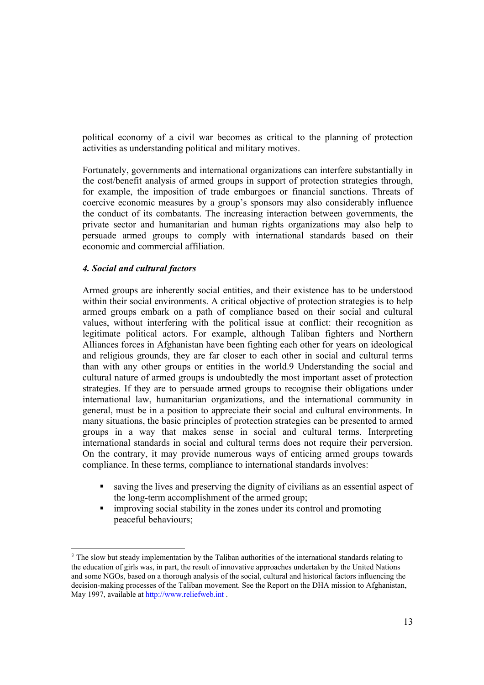political economy of a civil war becomes as critical to the planning of protection activities as understanding political and military motives.

Fortunately, governments and international organizations can interfere substantially in the cost/benefit analysis of armed groups in support of protection strategies through, for example, the imposition of trade embargoes or financial sanctions. Threats of coercive economic measures by a group's sponsors may also considerably influence the conduct of its combatants. The increasing interaction between governments, the private sector and humanitarian and human rights organizations may also help to persuade armed groups to comply with international standards based on their economic and commercial affiliation.

#### *4. Social and cultural factors*

Armed groups are inherently social entities, and their existence has to be understood within their social environments. A critical objective of protection strategies is to help armed groups embark on a path of compliance based on their social and cultural values, without interfering with the political issue at conflict: their recognition as legitimate political actors. For example, although Taliban fighters and Northern Alliances forces in Afghanistan have been fighting each other for years on ideological and religious grounds, they are far closer to each other in social and cultural terms than with any other groups or entities in the world.9 Understanding the social and cultural nature of armed groups is undoubtedly the most important asset of protection strategies. If they are to persuade armed groups to recognise their obligations under international law, humanitarian organizations, and the international community in general, must be in a position to appreciate their social and cultural environments. In many situations, the basic principles of protection strategies can be presented to armed groups in a way that makes sense in social and cultural terms. Interpreting international standards in social and cultural terms does not require their perversion. On the contrary, it may provide numerous ways of enticing armed groups towards compliance. In these terms, compliance to international standards involves:

- saving the lives and preserving the dignity of civilians as an essential aspect of the long-term accomplishment of the armed group;
- improving social stability in the zones under its control and promoting peaceful behaviours;

<sup>&</sup>lt;sup>9</sup> The slow but steady implementation by the Taliban authorities of the international standards relating to the education of girls was, in part, the result of innovative approaches undertaken by the United Nations and some NGOs, based on a thorough analysis of the social, cultural and historical factors influencing the decision-making processes of the Taliban movement. See the Report on the DHA mission to Afghanistan, May 1997, available at http://www.reliefweb.int .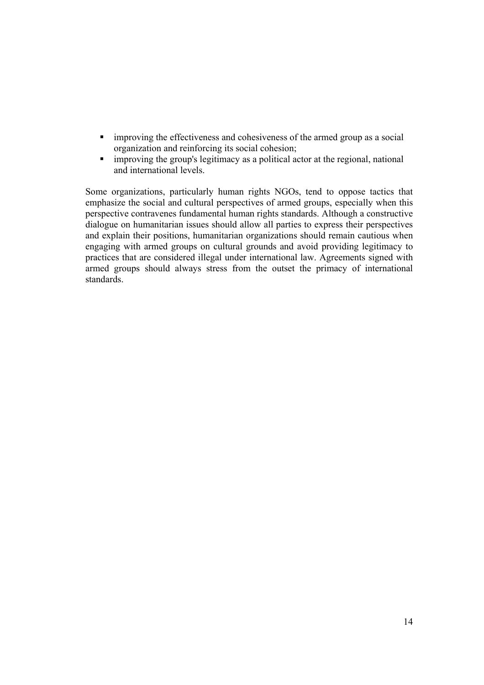- **Indeed as a social improving the effectiveness and cohesiveness of the armed group as a social** organization and reinforcing its social cohesion;
- **improving the group's legitimacy as a political actor at the regional, national** and international levels.

Some organizations, particularly human rights NGOs, tend to oppose tactics that emphasize the social and cultural perspectives of armed groups, especially when this perspective contravenes fundamental human rights standards. Although a constructive dialogue on humanitarian issues should allow all parties to express their perspectives and explain their positions, humanitarian organizations should remain cautious when engaging with armed groups on cultural grounds and avoid providing legitimacy to practices that are considered illegal under international law. Agreements signed with armed groups should always stress from the outset the primacy of international standards.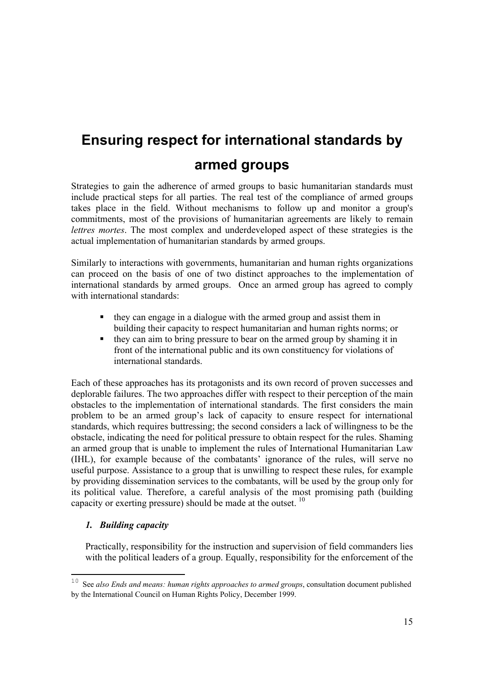# **Ensuring respect for international standards by armed groups**

Strategies to gain the adherence of armed groups to basic humanitarian standards must include practical steps for all parties. The real test of the compliance of armed groups takes place in the field. Without mechanisms to follow up and monitor a group's commitments, most of the provisions of humanitarian agreements are likely to remain *lettres mortes*. The most complex and underdeveloped aspect of these strategies is the actual implementation of humanitarian standards by armed groups.

Similarly to interactions with governments, humanitarian and human rights organizations can proceed on the basis of one of two distinct approaches to the implementation of international standards by armed groups. Once an armed group has agreed to comply with international standards:

- they can engage in a dialogue with the armed group and assist them in building their capacity to respect humanitarian and human rights norms; or
- they can aim to bring pressure to bear on the armed group by shaming it in front of the international public and its own constituency for violations of international standards.

Each of these approaches has its protagonists and its own record of proven successes and deplorable failures. The two approaches differ with respect to their perception of the main obstacles to the implementation of international standards. The first considers the main problem to be an armed group's lack of capacity to ensure respect for international standards, which requires buttressing; the second considers a lack of willingness to be the obstacle, indicating the need for political pressure to obtain respect for the rules. Shaming an armed group that is unable to implement the rules of International Humanitarian Law (IHL), for example because of the combatants' ignorance of the rules, will serve no useful purpose. Assistance to a group that is unwilling to respect these rules, for example by providing dissemination services to the combatants, will be used by the group only for its political value. Therefore, a careful analysis of the most promising path (building capacity or exerting pressure) should be made at the outset. 10

## *1. Building capacity*

 $\overline{a}$ 

Practically, responsibility for the instruction and supervision of field commanders lies with the political leaders of a group. Equally, responsibility for the enforcement of the

<sup>&</sup>lt;sup>10</sup> See *also Ends and means: human rights approaches to armed groups*, consultation document published by the International Council on Human Rights Policy, December 1999.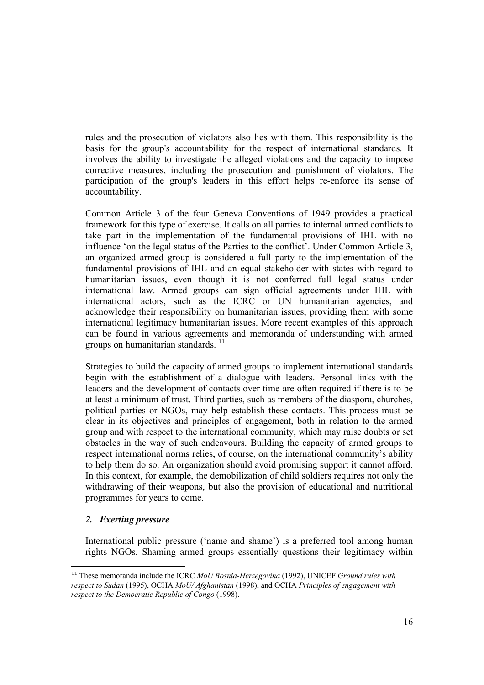rules and the prosecution of violators also lies with them. This responsibility is the basis for the group's accountability for the respect of international standards. It involves the ability to investigate the alleged violations and the capacity to impose corrective measures, including the prosecution and punishment of violators. The participation of the group's leaders in this effort helps re-enforce its sense of accountability.

Common Article 3 of the four Geneva Conventions of 1949 provides a practical framework for this type of exercise. It calls on all parties to internal armed conflicts to take part in the implementation of the fundamental provisions of IHL with no influence 'on the legal status of the Parties to the conflict'. Under Common Article 3, an organized armed group is considered a full party to the implementation of the fundamental provisions of IHL and an equal stakeholder with states with regard to humanitarian issues, even though it is not conferred full legal status under international law. Armed groups can sign official agreements under IHL with international actors, such as the ICRC or UN humanitarian agencies, and acknowledge their responsibility on humanitarian issues, providing them with some international legitimacy humanitarian issues. More recent examples of this approach can be found in various agreements and memoranda of understanding with armed groups on humanitarian standards.<sup>11</sup>

Strategies to build the capacity of armed groups to implement international standards begin with the establishment of a dialogue with leaders. Personal links with the leaders and the development of contacts over time are often required if there is to be at least a minimum of trust. Third parties, such as members of the diaspora, churches, political parties or NGOs, may help establish these contacts. This process must be clear in its objectives and principles of engagement, both in relation to the armed group and with respect to the international community, which may raise doubts or set obstacles in the way of such endeavours. Building the capacity of armed groups to respect international norms relies, of course, on the international community's ability to help them do so. An organization should avoid promising support it cannot afford. In this context, for example, the demobilization of child soldiers requires not only the withdrawing of their weapons, but also the provision of educational and nutritional programmes for years to come.

### *2. Exerting pressure*

International public pressure ('name and shame') is a preferred tool among human rights NGOs. Shaming armed groups essentially questions their legitimacy within

<sup>&</sup>lt;sup>11</sup> These memoranda include the ICRC *MoU Bosnia-Herzegovina* (1992), UNICEF *Ground rules with respect to Sudan* (1995), OCHA *MoU/ Afghanistan* (1998), and OCHA *Principles of engagement with respect to the Democratic Republic of Congo* (1998).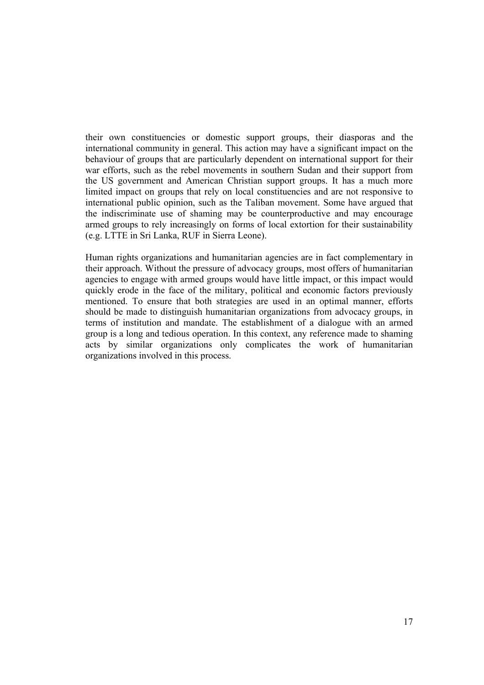their own constituencies or domestic support groups, their diasporas and the international community in general. This action may have a significant impact on the behaviour of groups that are particularly dependent on international support for their war efforts, such as the rebel movements in southern Sudan and their support from the US government and American Christian support groups. It has a much more limited impact on groups that rely on local constituencies and are not responsive to international public opinion, such as the Taliban movement. Some have argued that the indiscriminate use of shaming may be counterproductive and may encourage armed groups to rely increasingly on forms of local extortion for their sustainability (e.g. LTTE in Sri Lanka, RUF in Sierra Leone).

Human rights organizations and humanitarian agencies are in fact complementary in their approach. Without the pressure of advocacy groups, most offers of humanitarian agencies to engage with armed groups would have little impact, or this impact would quickly erode in the face of the military, political and economic factors previously mentioned. To ensure that both strategies are used in an optimal manner, efforts should be made to distinguish humanitarian organizations from advocacy groups, in terms of institution and mandate. The establishment of a dialogue with an armed group is a long and tedious operation. In this context, any reference made to shaming acts by similar organizations only complicates the work of humanitarian organizations involved in this process.